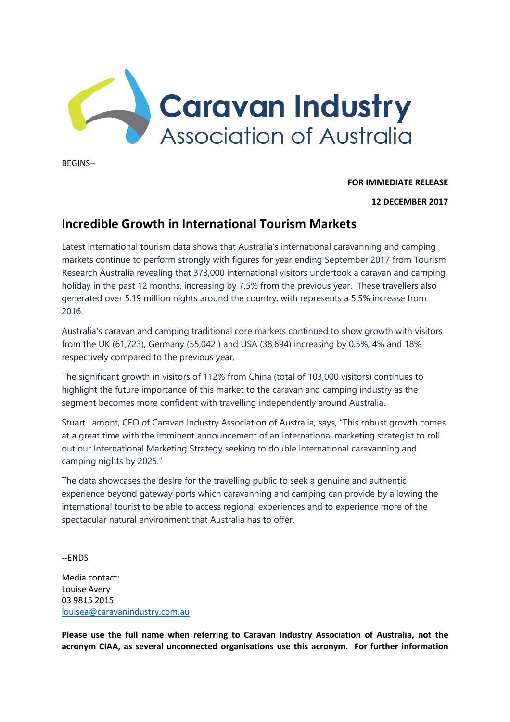

BEGINS--

**FOR IMMEDIATE RELEASE**

## **12 DECEMBER 2017**

## **Incredible Growth in International Tourism Markets**

Latest international tourism data shows that Australia's international caravanning and camping markets continue to perform strongly with figures for year ending September 2017 from Tourism Research Australia revealing that 373,000 international visitors undertook a caravan and camping holiday in the past 12 months, increasing by 7.5% from the previous year. These travellers also generated over 5.19 million nights around the country, with represents a 5.5% increase from 2016.

Australia's caravan and camping traditional core markets continued to show growth with visitors from the UK (61,723), Germany (55,042 ) and USA (38,694) increasing by 0.5%, 4% and 18% respectively compared to the previous year.

The significant growth in visitors of 112% from China (total of 103,000 visitors) continues to highlight the future importance of this market to the caravan and camping industry as the segment becomes more confident with travelling independently around Australia.

Stuart Lamont, CEO of Caravan Industry Association of Australia, says, "This robust growth comes at a great time with the imminent announcement of an international marketing strategist to roll out our International Marketing Strategy seeking to double international caravanning and camping nights by 2025."

The data showcases the desire for the travelling public to seek a genuine and authentic experience beyond gateway ports which caravanning and camping can provide by allowing the international tourist to be able to access regional experiences and to experience more of the spectacular natural environment that Australia has to offer.

--ENDS

Media contact: Louise Avery 03 9815 2015 [louisea@caravanindustry.com.au](mailto:louisea@caravanindustry.com.au)

**Please use the full name when referring to Caravan Industry Association of Australia, not the acronym CIAA, as several unconnected organisations use this acronym. For further information**